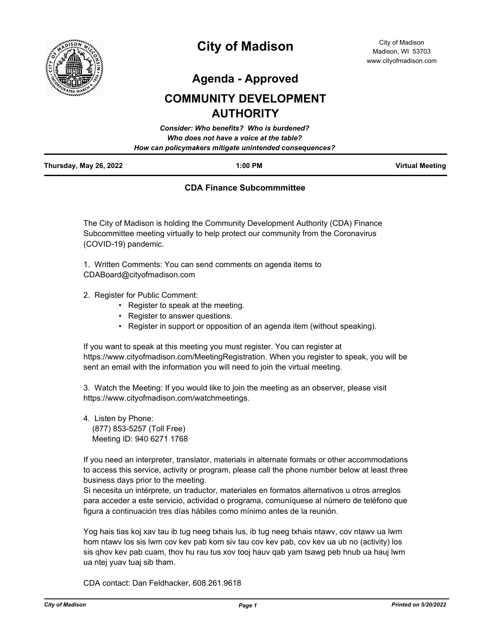

# **City of Madison**

**Agenda - Approved**

# **COMMUNITY DEVELOPMENT AUTHORITY**

|                        | Consider: Who benefits? Who is burdened?               |                        |
|------------------------|--------------------------------------------------------|------------------------|
|                        | Who does not have a voice at the table?                |                        |
|                        | How can policymakers mitigate unintended consequences? |                        |
| Thursday, May 26, 2022 | $1:00$ PM                                              | <b>Virtual Meeting</b> |

# **CDA Finance Subcommmittee**

The City of Madison is holding the Community Development Authority (CDA) Finance Subcommittee meeting virtually to help protect our community from the Coronavirus (COVID-19) pandemic.

1. Written Comments: You can send comments on agenda items to CDABoard@cityofmadison.com

- 2. Register for Public Comment:
	- Register to speak at the meeting.
	- Register to answer questions.
	- Register in support or opposition of an agenda item (without speaking).

If you want to speak at this meeting you must register. You can register at https://www.cityofmadison.com/MeetingRegistration. When you register to speak, you will be sent an email with the information you will need to join the virtual meeting.

3. Watch the Meeting: If you would like to join the meeting as an observer, please visit https://www.cityofmadison.com/watchmeetings.

4. Listen by Phone: (877) 853-5257 (Toll Free) Meeting ID: 940 6271 1768

If you need an interpreter, translator, materials in alternate formats or other accommodations to access this service, activity or program, please call the phone number below at least three business days prior to the meeting.

Si necesita un intérprete, un traductor, materiales en formatos alternativos u otros arreglos para acceder a este servicio, actividad o programa, comuníquese al número de teléfono que figura a continuación tres días hábiles como mínimo antes de la reunión.

Yog hais tias koj xav tau ib tug neeg txhais lus, ib tug neeg txhais ntawv, cov ntawv ua lwm hom ntawv los sis lwm cov kev pab kom siv tau cov kev pab, cov kev ua ub no (activity) los sis qhov kev pab cuam, thov hu rau tus xov tooj hauv qab yam tsawg peb hnub ua hauj lwm ua ntej yuav tuaj sib tham.

CDA contact: Dan Feldhacker, 608.261.9618